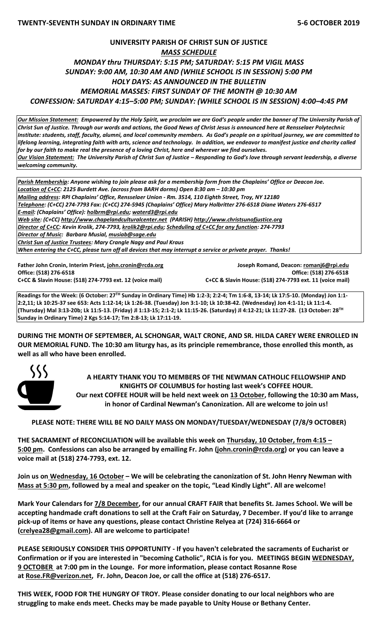# **UNIVERSITY PARISH OF CHRIST SUN OF JUSTICE** *MASS SCHEDULE MONDAY thru THURSDAY: 5:15 PM; SATURDAY: 5:15 PM VIGIL MASS SUNDAY: 9:00 AM, 10:30 AM AND (WHILE SCHOOL IS IN SESSION) 5:00 PM HOLY DAYS: AS ANNOUNCED IN THE BULLETIN MEMORIAL MASSES: FIRST SUNDAY OF THE MONTH @ 10:30 AM CONFESSION: SATURDAY 4:15–5:00 PM; SUNDAY: (WHILE SCHOOL IS IN SESSION) 4:00–4:45 PM*

*Our Mission Statement:**Empowered by the Holy Spirit, we proclaim we are God's people under the banner of The University Parish of Christ Sun of Justice. Through our words and actions, the Good News of Christ Jesus is announced here at Rensselaer Polytechnic Institute: students, staff, faculty, alumni, and local community members. As God's people on a spiritual journey, we are committed to lifelong learning, integrating faith with arts, science and technology. In addition, we endeavor to manifest justice and charity called for by our faith to make real the presence of a loving Christ, here and wherever we find ourselves. Our Vision Statement: The University Parish of Christ Sun of Justice – Responding to God's love through servant leadership, a diverse welcoming community.*

*Parish Membership: Anyone wishing to join please ask for a membership form from the Chaplains' Office or Deacon Joe. Location of C+CC: 2125 Burdett Ave. (across from BARH dorms) Open 8:30 am – 10:30 pm Mailing address: RPI Chaplains' Office, Rensselaer Union - Rm. 3514, 110 Eighth Street, Troy, NY 12180 Telephone: (C+CC) 274-7793 Fax: (C+CC) 274-5945 (Chaplains' Office) Mary Holbritter 276-6518 Diane Waters 276-6517 E-mail: (Chaplains' Office): [holbrm@rpi.edu;](mailto:holbrm@rpi.edu) waterd3@rpi.edu Web site: (C+CC) [http://www.chapelandculturalcenter.net](http://www.chapelandculturalcenter.net/) (PARISH) http://www.christsunofjustice.org Director of C+CC: Kevin Krolik, 274-7793, krolik2@rpi.edu; Scheduling of C+CC for any function: 274-7793 Director of Music: Barbara Musial, [musiab@sage.edu](mailto:musiab@sage.edu) Christ Sun of Justice Trustees: Mary Crangle Nagy and Paul Kraus When entering the C+CC, please turn off all devices that may interrupt a service or private prayer. Thanks!* 

**Office: (518) 276-6518 Office: (518) 276-6518 C+CC & Slavin House: (518) 274-7793 ext. 12 (voice mail) C+CC & Slavin House: (518) 274-7793 ext. 11 (voice mail)**

**Father John Cronin, Interim Priest[, john.cronin@rcda.org](mailto:john.cronin@rcda.org) Joseph Romand, Deacon: [romanj6@rpi.edu](mailto:romanj6@rpi.edu)**

**Readings for the Week: (6 October: 27TH Sunday in Ordinary Time) Hb 1:2-3; 2:2-4; Tm 1:6-8, 13-14; Lk 17:5-10. (Monday) Jon 1:1- 2:2,11; Lk 10:25-37 see 653: Acts 1:12-14; Lk 1:26-38. (Tuesday) Jon 3:1-10; Lk 10:38-42. (Wednesday) Jon 4:1-11; Lk 11:1-4. (Thursday) Mal 3:13-20b; Lk 11:5-13. (Friday) Jl 1:13-15; 2:1-2; Lk 11:15-26. (Saturday) Jl 4:12-21; Lk 11:27-28. (13 October: 28TH Sunday in Ordinary Time) 2 Kgs 5:14-17; Tm 2:8-13; Lk 17:11-19.**

**DURING THE MONTH OF SEPTEMBER, AL SCHONGAR, WALT CRONE, AND SR. HILDA CAREY WERE ENROLLED IN OUR MEMORIAL FUND. The 10:30 am liturgy has, as its principle remembrance, those enrolled this month, as well as all who have been enrolled.**



**A HEARTY THANK YOU TO MEMBERS OF THE NEWMAN CATHOLIC FELLOWSHIP AND KNIGHTS OF COLUMBUS for hosting last week's COFFEE HOUR. Our next COFFEE HOUR will be held next week on 13 October, following the 10:30 am Mass, in honor of Cardinal Newman's Canonization. All are welcome to join us!**

**PLEASE NOTE: THERE WILL BE NO DAILY MASS ON MONDAY/TUESDAY/WEDNESDAY (7/8/9 OCTOBER)**

**THE SACRAMENT of RECONCILIATION will be available this week on Thursday, 10 October, from 4:15 – 5:00 pm. Confessions can also be arranged by emailing Fr. John [\(john.cronin@rcda.org\)](mailto:john.cronin@rcda.org) or you can leave a voice mail at (518) 274-7793, ext. 12.**

**Join us on Wednesday, 16 October – We will be celebrating the canonization of St. John Henry Newman with Mass at 5:30 pm, followed by a meal and speaker on the topic, "Lead Kindly Light". All are welcome!** 

**Mark Your Calendars for 7/8 December, for our annual CRAFT FAIR that benefits St. James School. We will be accepting handmade craft donations to sell at the Craft Fair on Saturday, 7 December. If you'd like to arrange pick-up of items or have any questions, please contact Christine Relyea at (724) 316-6664 or [\(crelyea28@gmail.com\)](mailto:crelyea28@gmail.com). All are welcome to participate!** 

**PLEASE SERIOUSLY CONSIDER THIS OPPORTUNITY - If you haven't celebrated the sacraments of Eucharist or Confirmation or if you are interested in "becoming Catholic", RCIA is for you. MEETINGS BEGIN WEDNESDAY, 9 OCTOBER at 7:00 pm in the Lounge. For more information, please contact Rosanne Rose at [Rose.FR@verizon.net,](mailto:Rose.FR@verizon.net) Fr. John, Deacon Joe, or call the office at (518) 276-6517.**

**THIS WEEK, FOOD FOR THE HUNGRY OF TROY. Please consider donating to our local neighbors who are struggling to make ends meet. Checks may be made payable to Unity House or Bethany Center.**